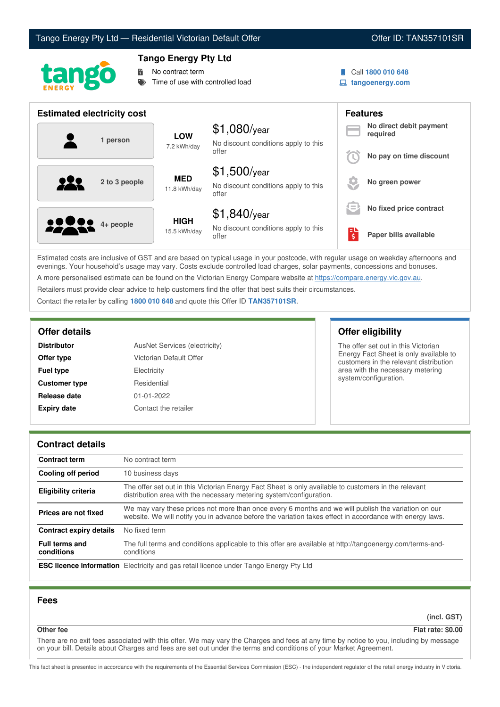# Tango Energy Pty Ltd — Residential Victorian Default Offer **Communist Communist Communist Communist Communist Communist Communist Communist Communist Communist Communist Communist Communist Communist Communist Communist Co**



# **Tango Energy Pty Ltd**

No contract term

Time of use with controlled load

- Call **1800 010 648**
- **tangoenergy.com**

| <b>Estimated electricity cost</b> |                             |                                                                 | <b>Features</b> |                                     |
|-----------------------------------|-----------------------------|-----------------------------------------------------------------|-----------------|-------------------------------------|
| 1 person                          | <b>LOW</b><br>7.2 kWh/day   | $$1,080$ /year<br>No discount conditions apply to this          |                 | No direct debit payment<br>required |
|                                   |                             | offer                                                           |                 | No pay on time discount             |
| <u>922</u><br>2 to 3 people       | <b>MED</b><br>11.8 kWh/day  | $$1,500$ /year<br>No discount conditions apply to this<br>offer |                 | No green power                      |
|                                   |                             | $$1,840$ /year                                                  | $\equiv$        | No fixed price contract             |
| <b>10000</b> 4+ people            | <b>HIGH</b><br>15.5 kWh/day | No discount conditions apply to this<br>offer                   | $\frac{1}{2}$   | Paper bills available               |

Estimated costs are inclusive of GST and are based on typical usage in your postcode, with regular usage on weekday afternoons and evenings. Your household's usage may vary. Costs exclude controlled load charges, solar payments, concessions and bonuses. A more personalised estimate can be found on the Victorian Energy Compare website at <https://compare.energy.vic.gov.au>.

Retailers must provide clear advice to help customers find the offer that best suits their circumstances.

Contact the retailer by calling **1800 010 648** and quote this Offer ID **TAN357101SR**.

| <b>Distributor</b>   | AusNet Services (electricity) |  |
|----------------------|-------------------------------|--|
| Offer type           | Victorian Default Offer       |  |
| <b>Fuel type</b>     | Electricity                   |  |
| <b>Customer type</b> | Residential                   |  |
| Release date         | $01 - 01 - 2022$              |  |
| <b>Expiry date</b>   | Contact the retailer          |  |

# **Offer details Offer eligibility**

The offer set out in this Victorian Energy Fact Sheet is only available to customers in the relevant distribution area with the necessary metering system/configuration.

## **Contract details**

| <b>Contract term</b>                | No contract term                                                                                                                                                                                                |
|-------------------------------------|-----------------------------------------------------------------------------------------------------------------------------------------------------------------------------------------------------------------|
| Cooling off period                  | 10 business days                                                                                                                                                                                                |
| <b>Eligibility criteria</b>         | The offer set out in this Victorian Energy Fact Sheet is only available to customers in the relevant<br>distribution area with the necessary metering system/configuration.                                     |
| Prices are not fixed                | We may vary these prices not more than once every 6 months and we will publish the variation on our<br>website. We will notify you in advance before the variation takes effect in accordance with energy laws. |
| <b>Contract expiry details</b>      | No fixed term                                                                                                                                                                                                   |
| <b>Full terms and</b><br>conditions | The full terms and conditions applicable to this offer are available at http://tangoenergy.com/terms-and-<br>conditions                                                                                         |
|                                     | <b>ESC licence information</b> Electricity and gas retail licence under Tango Energy Pty Ltd                                                                                                                    |

# **Fees**

**(incl. GST)**

# **Other fee Flat rate: \$0.00**

There are no exit fees associated with this offer. We may vary the Charges and fees at any time by notice to you, including by message on your bill. Details about Charges and fees are set out under the terms and conditions of your Market Agreement.

This fact sheet is presented in accordance with the requirements of the Essential Services Commission (ESC) - the independent regulator of the retail energy industry in Victoria.